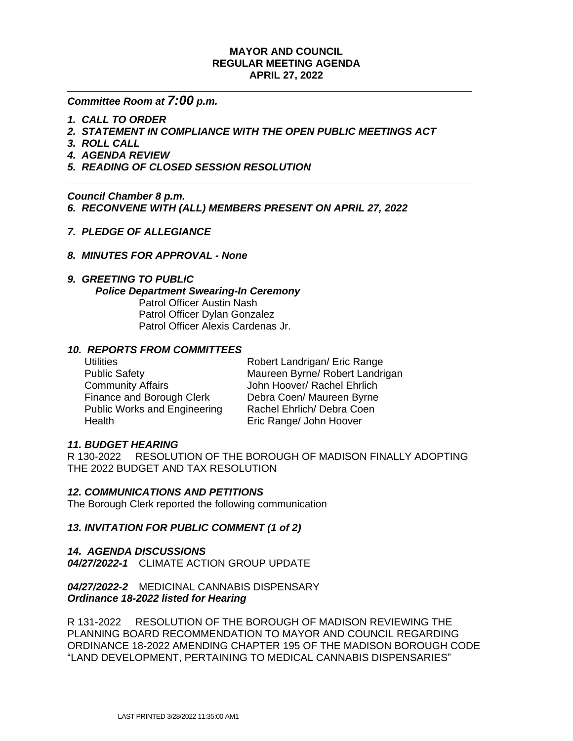### **MAYOR AND COUNCIL REGULAR MEETING AGENDA APRIL 27, 2022**

# *Committee Room at 7:00 p.m.*

- *1. CALL TO ORDER*
- *2. STATEMENT IN COMPLIANCE WITH THE OPEN PUBLIC MEETINGS ACT*
- *3. ROLL CALL*

- *4. AGENDA REVIEW*
- *5. READING OF CLOSED SESSION RESOLUTION*

*Council Chamber 8 p.m.*

*6. RECONVENE WITH (ALL) MEMBERS PRESENT ON APRIL 27, 2022*

- *7. PLEDGE OF ALLEGIANCE*
- *8. MINUTES FOR APPROVAL None*

### *9. GREETING TO PUBLIC*

#### *Police Department Swearing-In Ceremony*

Patrol Officer Austin Nash Patrol Officer Dylan Gonzalez Patrol Officer Alexis Cardenas Jr.

# *10. REPORTS FROM COMMITTEES*

Community Affairs **Community Affairs** John Hoover/ Rachel Ehrlich Finance and Borough Clerk Debra Coen/ Maureen Byrne Public Works and Engineering Rachel Ehrlich/ Debra Coen Health Eric Range/ John Hoover

Utilities **Noter Community Robert Landrigan/ Eric Range** Public Safety Maureen Byrne/ Robert Landrigan

### *11. BUDGET HEARING*

R 130-2022 RESOLUTION OF THE BOROUGH OF MADISON FINALLY ADOPTING THE 2022 BUDGET AND TAX RESOLUTION

### *12. COMMUNICATIONS AND PETITIONS*

The Borough Clerk reported the following communication

### *13. INVITATION FOR PUBLIC COMMENT (1 of 2)*

*14. AGENDA DISCUSSIONS 04/27/2022-1* CLIMATE ACTION GROUP UPDATE

*04/27/2022-2* MEDICINAL CANNABIS DISPENSARY *Ordinance 18-2022 listed for Hearing*

R 131-2022 RESOLUTION OF THE BOROUGH OF MADISON REVIEWING THE PLANNING BOARD RECOMMENDATION TO MAYOR AND COUNCIL REGARDING ORDINANCE 18-2022 AMENDING CHAPTER 195 OF THE MADISON BOROUGH CODE "LAND DEVELOPMENT, PERTAINING TO MEDICAL CANNABIS DISPENSARIES"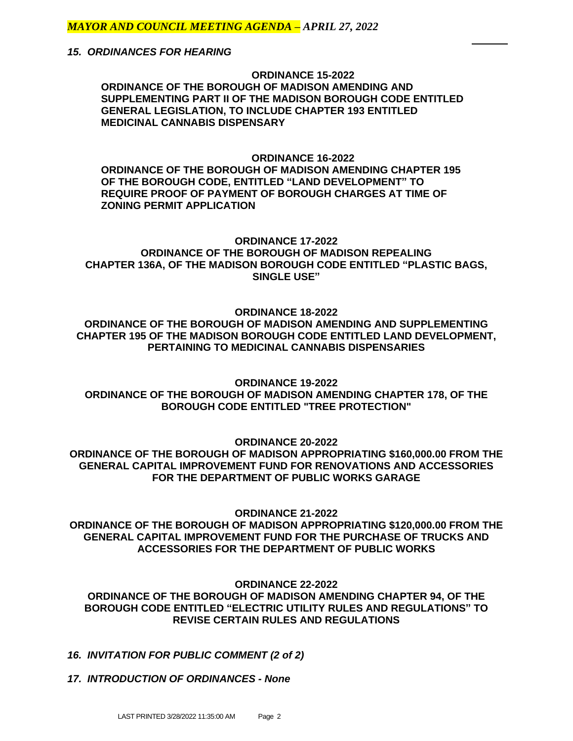*15. ORDINANCES FOR HEARING*

**ORDINANCE 15-2022 ORDINANCE OF THE BOROUGH OF MADISON AMENDING AND SUPPLEMENTING PART II OF THE MADISON BOROUGH CODE ENTITLED GENERAL LEGISLATION, TO INCLUDE CHAPTER 193 ENTITLED MEDICINAL CANNABIS DISPENSARY**

#### **ORDINANCE 16-2022**

**ORDINANCE OF THE BOROUGH OF MADISON AMENDING CHAPTER 195 OF THE BOROUGH CODE, ENTITLED "LAND DEVELOPMENT" TO REQUIRE PROOF OF PAYMENT OF BOROUGH CHARGES AT TIME OF ZONING PERMIT APPLICATION**

# **ORDINANCE 17-2022 ORDINANCE OF THE BOROUGH OF MADISON REPEALING CHAPTER 136A, OF THE MADISON BOROUGH CODE ENTITLED "PLASTIC BAGS, SINGLE USE"**

#### **ORDINANCE 18-2022**

**ORDINANCE OF THE BOROUGH OF MADISON AMENDING AND SUPPLEMENTING CHAPTER 195 OF THE MADISON BOROUGH CODE ENTITLED LAND DEVELOPMENT, PERTAINING TO MEDICINAL CANNABIS DISPENSARIES**

**ORDINANCE 19-2022**

**ORDINANCE OF THE BOROUGH OF MADISON AMENDING CHAPTER 178, OF THE BOROUGH CODE ENTITLED "TREE PROTECTION"**

**ORDINANCE 20-2022**

**ORDINANCE OF THE BOROUGH OF MADISON APPROPRIATING \$160,000.00 FROM THE GENERAL CAPITAL IMPROVEMENT FUND FOR RENOVATIONS AND ACCESSORIES FOR THE DEPARTMENT OF PUBLIC WORKS GARAGE**

**ORDINANCE 21-2022**

**ORDINANCE OF THE BOROUGH OF MADISON APPROPRIATING \$120,000.00 FROM THE GENERAL CAPITAL IMPROVEMENT FUND FOR THE PURCHASE OF TRUCKS AND ACCESSORIES FOR THE DEPARTMENT OF PUBLIC WORKS**

**ORDINANCE 22-2022**

**ORDINANCE OF THE BOROUGH OF MADISON AMENDING CHAPTER 94, OF THE BOROUGH CODE ENTITLED "ELECTRIC UTILITY RULES AND REGULATIONS" TO REVISE CERTAIN RULES AND REGULATIONS**

- *16. INVITATION FOR PUBLIC COMMENT (2 of 2)*
- *17. INTRODUCTION OF ORDINANCES None*